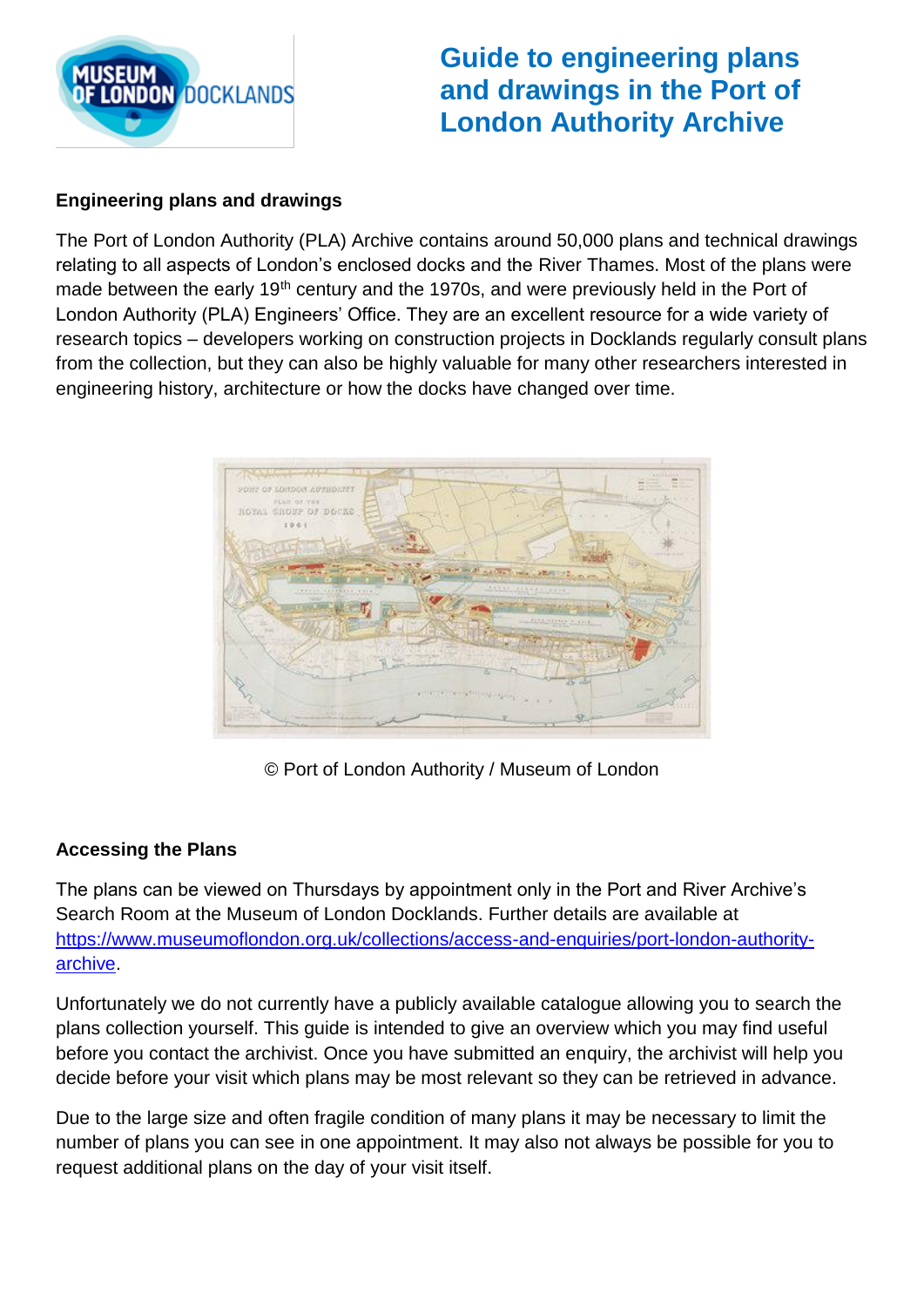

# **Guide to engineering plans and drawings in the Port of London Authority Archive**

### **Engineering plans and drawings**

The Port of London Authority (PLA) Archive contains around 50,000 plans and technical drawings relating to all aspects of London's enclosed docks and the River Thames. Most of the plans were made between the early 19<sup>th</sup> century and the 1970s, and were previously held in the Port of London Authority (PLA) Engineers' Office. They are an excellent resource for a wide variety of research topics – developers working on construction projects in Docklands regularly consult plans from the collection, but they can also be highly valuable for many other researchers interested in engineering history, architecture or how the docks have changed over time.



© Port of London Authority / Museum of London

#### **Accessing the Plans**

The plans can be viewed on Thursdays by appointment only in the Port and River Archive's Search Room at the Museum of London Docklands. Further details are available at [https://www.museumoflondon.org.uk/collections/access-and-enquiries/port-london-authority](https://www.museumoflondon.org.uk/collections/access-and-enquiries/port-london-authority-archive)[archive.](https://www.museumoflondon.org.uk/collections/access-and-enquiries/port-london-authority-archive)

Unfortunately we do not currently have a publicly available catalogue allowing you to search the plans collection yourself. This guide is intended to give an overview which you may find useful before you contact the archivist. Once you have submitted an enquiry, the archivist will help you decide before your visit which plans may be most relevant so they can be retrieved in advance.

Due to the large size and often fragile condition of many plans it may be necessary to limit the number of plans you can see in one appointment. It may also not always be possible for you to request additional plans on the day of your visit itself.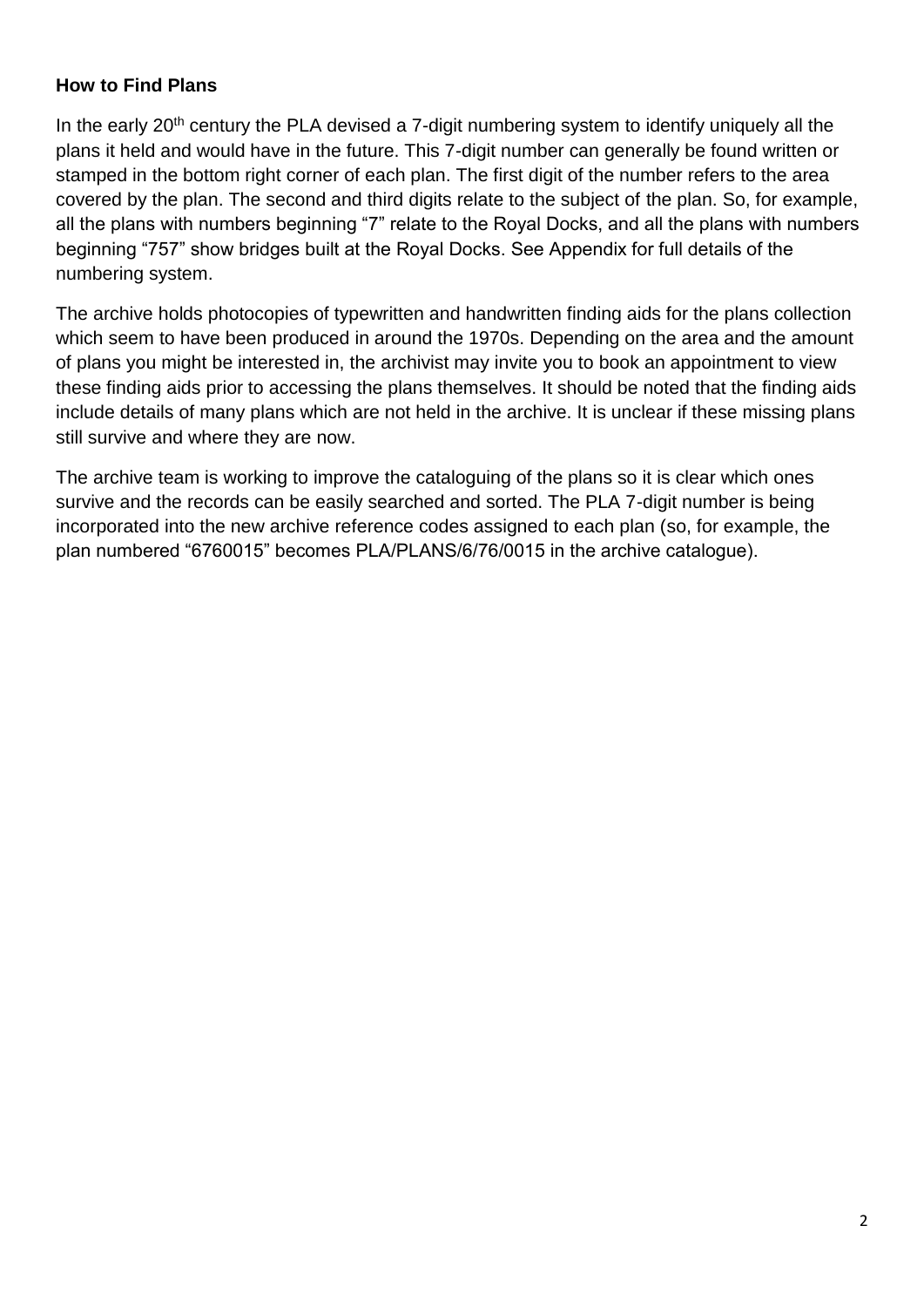#### **How to Find Plans**

In the early 20<sup>th</sup> century the PLA devised a 7-digit numbering system to identify uniquely all the plans it held and would have in the future. This 7-digit number can generally be found written or stamped in the bottom right corner of each plan. The first digit of the number refers to the area covered by the plan. The second and third digits relate to the subject of the plan. So, for example, all the plans with numbers beginning "7" relate to the Royal Docks, and all the plans with numbers beginning "757" show bridges built at the Royal Docks. See Appendix for full details of the numbering system.

The archive holds photocopies of typewritten and handwritten finding aids for the plans collection which seem to have been produced in around the 1970s. Depending on the area and the amount of plans you might be interested in, the archivist may invite you to book an appointment to view these finding aids prior to accessing the plans themselves. It should be noted that the finding aids include details of many plans which are not held in the archive. It is unclear if these missing plans still survive and where they are now.

The archive team is working to improve the cataloguing of the plans so it is clear which ones survive and the records can be easily searched and sorted. The PLA 7-digit number is being incorporated into the new archive reference codes assigned to each plan (so, for example, the plan numbered "6760015" becomes PLA/PLANS/6/76/0015 in the archive catalogue).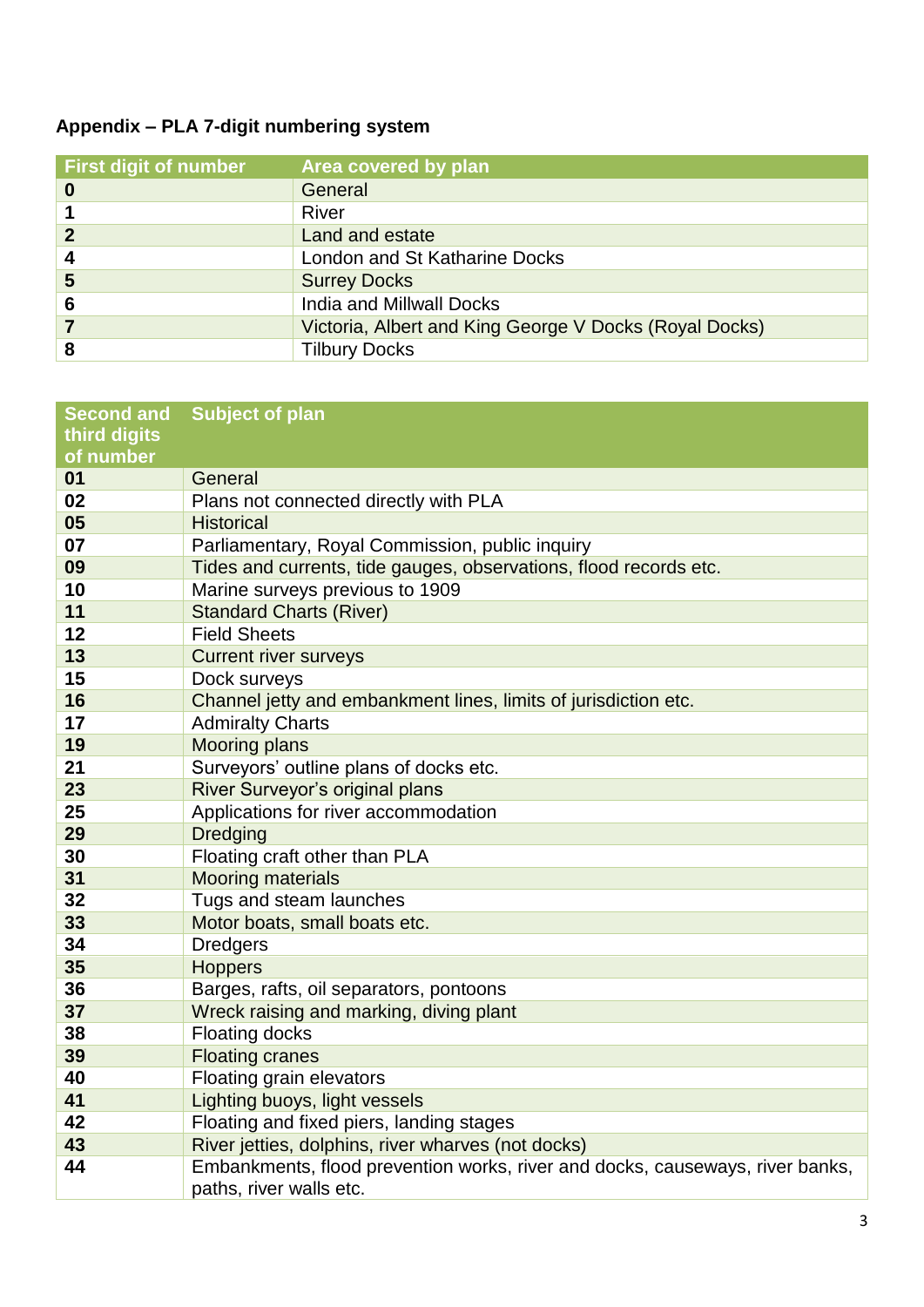## **Appendix – PLA 7-digit numbering system**

| <b>First digit of number</b> | Area covered by plan                                   |
|------------------------------|--------------------------------------------------------|
| 0                            | General                                                |
|                              | River                                                  |
|                              | Land and estate                                        |
| 4                            | London and St Katharine Docks                          |
| 5                            | <b>Surrey Docks</b>                                    |
| 6                            | India and Millwall Docks                               |
|                              | Victoria, Albert and King George V Docks (Royal Docks) |
|                              | <b>Tilbury Docks</b>                                   |

| <b>Second and</b> | <b>Subject of plan</b>                                                        |
|-------------------|-------------------------------------------------------------------------------|
| third digits      |                                                                               |
| of number         |                                                                               |
| 01                | General                                                                       |
| 02                | Plans not connected directly with PLA                                         |
| 05                | <b>Historical</b>                                                             |
| 07                | Parliamentary, Royal Commission, public inquiry                               |
| 09                | Tides and currents, tide gauges, observations, flood records etc.             |
| 10                | Marine surveys previous to 1909                                               |
| 11                | <b>Standard Charts (River)</b>                                                |
| 12                | <b>Field Sheets</b>                                                           |
| 13                | <b>Current river surveys</b>                                                  |
| 15                | Dock surveys                                                                  |
| 16                | Channel jetty and embankment lines, limits of jurisdiction etc.               |
| 17                | <b>Admiralty Charts</b>                                                       |
| 19                | <b>Mooring plans</b>                                                          |
| 21                | Surveyors' outline plans of docks etc.                                        |
| 23                | River Surveyor's original plans                                               |
| 25                | Applications for river accommodation                                          |
| 29                | <b>Dredging</b>                                                               |
| 30                | Floating craft other than PLA                                                 |
| 31                | <b>Mooring materials</b>                                                      |
| 32                | Tugs and steam launches                                                       |
| 33                | Motor boats, small boats etc.                                                 |
| 34                | <b>Dredgers</b>                                                               |
| 35                | <b>Hoppers</b>                                                                |
| 36                | Barges, rafts, oil separators, pontoons                                       |
| 37                | Wreck raising and marking, diving plant                                       |
| 38                | <b>Floating docks</b>                                                         |
| 39                | <b>Floating cranes</b>                                                        |
| 40                | Floating grain elevators                                                      |
| 41                | Lighting buoys, light vessels                                                 |
| 42                | Floating and fixed piers, landing stages                                      |
| 43                | River jetties, dolphins, river wharves (not docks)                            |
| 44                | Embankments, flood prevention works, river and docks, causeways, river banks, |
|                   | paths, river walls etc.                                                       |